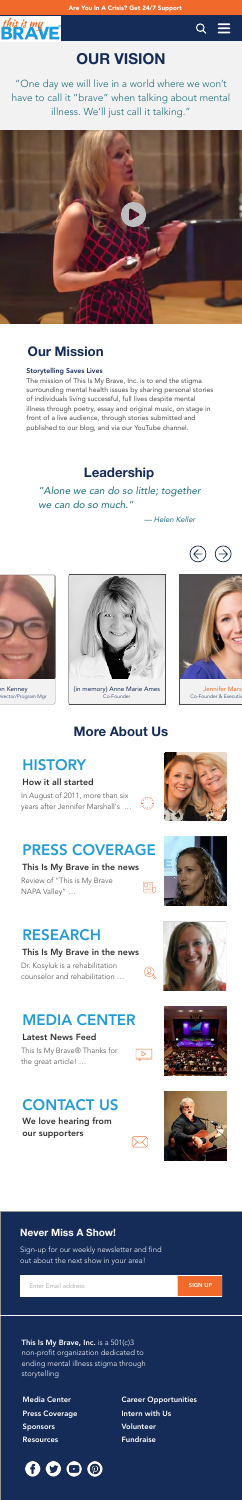



# **OUR VISION**

"One day we will live in a world where we won't have to call it "brave" when talking about mental illness. We'll just call it talking."



Storytelling Saves Lives

The mission of This Is My Brave, Inc. is to end the stigma surrounding mental health issues by sharing personal stories of individuals living successful, full lives despite mental illness through poetry, essay and original music, on stage in front of a live audience, through stories submitted and published to our blog, and via our YouTube channel.

## **Our Mission**

## **Leadership**

## *"Alone we can do so little; together we can do so much."*

*— Helen Keller*





en Kenney **Director/Program Mgr** 

## **More About Us**

# **HISTORY**

## How it all started

In August of 2011, more than six years after Jennifer Marshall's …

# **RESS COVERAGE**

This Is My Brave, Inc. is a  $501(c)3$ non-profit organization dedicated to ending mental illness stigma through storytelling

### This Is My Brave in the news

Review of "This is My Brave NAPA Valley" …

### This Is My Brave in the news

# RESEARCH

Dr. Kosyluk is a rehabilitation counselor and rehabilitation …

### Latest News Feed

# MEDIA CENTER

This Is My Brave® Thanks for the great article! …

We love hearing from













## our supporters



# CONTACT US



{in memory} Anne Marie Ames Co-Founder



Jennifer Mars Co-Founder & Executive

Sign-up for our weekly newsletter and find out about the next show in your area!

## **Never Miss A Show!**

Enter Email address

Media Center

Press Coverage

Sponsors

**Resources** 

SIGN UP

Career Opportunities Intern with Us Volunteer Fundraise

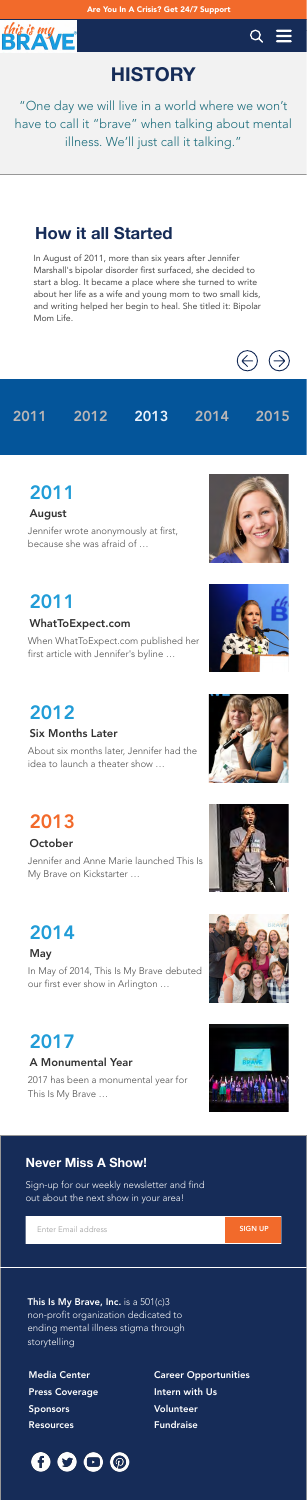



# **HISTORY**

"One day we will live in a world where we won't have to call it "brave" when talking about mental illness. We'll just call it talking."

In August of 2011, more than six years after Jennifer Marshall's bipolar disorder first surfaced, she decided to start a blog. It became a place where she turned to write about her life as a wife and young mom to two small kids, and writing helped her begin to heal. She titled it: Bipolar Mom Life.



## **How it all Started**

## 2011 2012 2013 2014 2015

#### August

# 2011

Jennifer wrote anonymously at first, because she was afraid of …



#### WhatToExpect.com

# 2011

This Is My Brave, Inc. is a  $501(c)3$ non-profit organization dedicated to ending mental illness stigma through storytelling

When WhatToExpect.com published her first article with Jennifer's byline …



Six Months Later



# 2012

About six months later, Jennifer had the idea to launch a theater show …

# 2013

## **October**

Jennifer and Anne Marie launched This Is My Brave on Kickstarter …



# 2014

In May of 2014, This Is My Brave debuted our first ever show in Arlington …

## A Monumental Year

# 2017

2017 has been a monumental year for This Is My Brave …











Sign-up for our weekly newsletter and find out about the next show in your area!

## **Never Miss A Show!**

Enter Email address

Media Center Press Coverage Sponsors Resources

SIGN UP

Career Opportunities Intern with Us Volunteer Fundraise